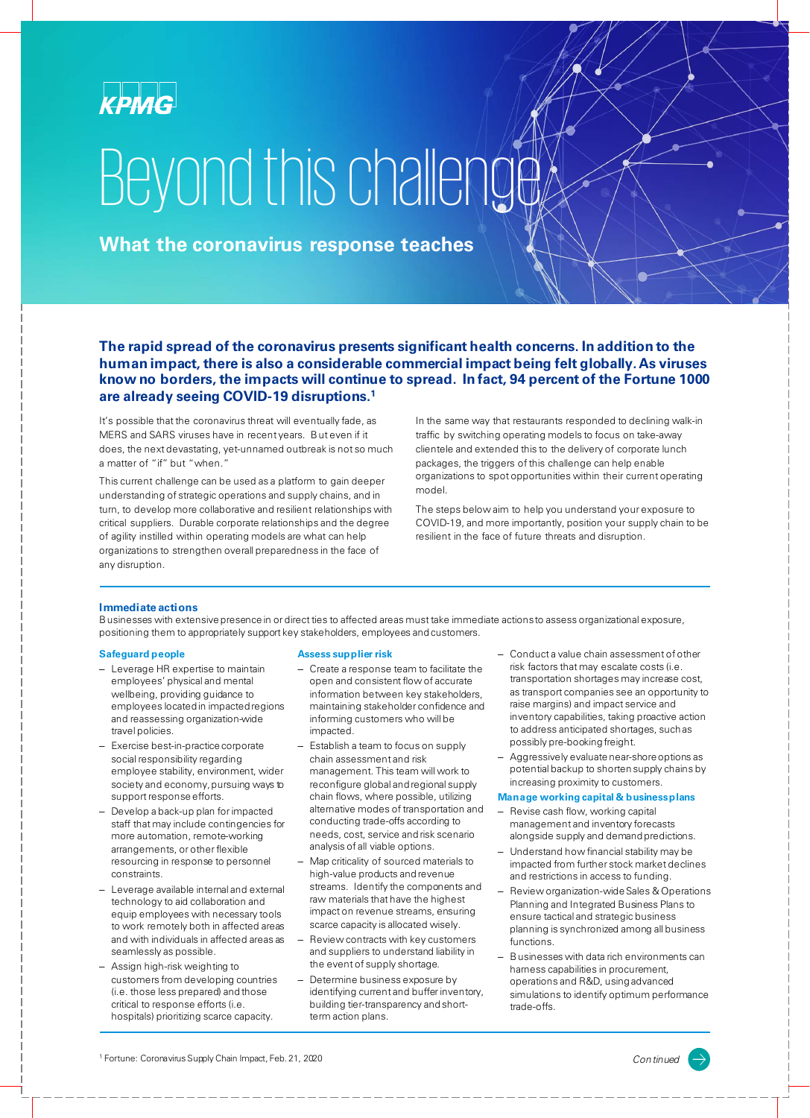

# Beyond this challenge

**What the coronavirus response teaches**

**The rapid spread of the coronavirus presents significant health concerns. In addition to the human impact, there is also a considerable commercial impact being felt globally. As viruses know no borders, the impacts will continue to spread. In fact, 94 percent of the Fortune 1000 are already seeing COVID-19 disruptions.1**

It's possible that the coronavirus threat will eventually fade, as MERS and SARS viruses have in recent years. But even if it does, the next devastating, yet-unnamed outbreak is not so much a matter of "if" but "when."

This current challenge can be used as a platform to gain deeper understanding of strategic operations and supply chains, and in turn, to develop more collaborative and resilient relationships with critical suppliers. Durable corporate relationships and the degree of agility instilled within operating models are what can help organizations to strengthen overall preparedness in the face of any disruption.

In the same way that restaurants responded to declining walk-in traffic by switching operating models to focus on take-away clientele and extended this to the delivery of corporate lunch packages, the triggers of this challenge can help enable organizations to spot opportunities within their current operating model.

The steps below aim to help you understand your exposure to COVID-19, and more importantly, position your supply chain to be resilient in the face of future threats and disruption.

## **Immediate actions**

Businesses with extensive presence in or direct ties to affected areas must take immediate actions to assess organizational exposure, positioning them to appropriately support key stakeholders, employees and customers.

## **Safeguard people**

- Leverage HR expertise to maintain employees' physical and mental wellbeing, providing guidance to employees located in impacted regions and reassessing organization-wide travel policies.
- Exercise best-in-practice corporate social responsibility regarding employee stability, environment, wider society and economy, pursuing ways to support response efforts.
- Develop a back-up plan for impacted staff that may include contingencies for more automation, remote-working arrangements, or other flexible resourcing in response to personnel constraints.
- Leverage available internal and external technology to aid collaboration and equip employees with necessary tools to work remotely both in affected areas and with individuals in affected areas as seamlessly as possible.
- Assign high-risk weighting to customers from developing countries (i.e. those less prepared) and those critical to response efforts (i.e. hospitals) prioritizing scarce capacity.

#### **Assess supplier risk**

- Create a response team to facilitate the open and consistent flow of accurate information between key stakeholders, maintaining stakeholder confidence and informing customers who will be impacted.
- Establish a team to focus on supply chain assessment and risk management. This team will work to reconfigure global and regional supply chain flows, where possible, utilizing alternative modes of transportation and conducting trade-offs according to needs, cost, service and risk scenario analysis of all viable options.
- Map criticality of sourced materials to high-value products and revenue streams. Identify the components and raw materials that have the highest impact on revenue streams, ensuring scarce capacity is allocated wisely.
- Review contracts with key customers and suppliers to understand liability in the event of supply shortage.
- Determine business exposure by identifying current and buffer inventory, building tier-transparency and shortterm action plans.
- Conduct a value chain assessment of other risk factors that may escalate costs (i.e. transportation shortages may increase cost, as transport companies see an opportunity to raise margins) and impact service and inventory capabilities, taking proactive action to address anticipated shortages, such as possibly pre-booking freight.
- Aggressively evaluate near-shore options as potential backup to shorten supply chains by increasing proximity to customers.

#### **Manage working capital & business plans**

- Revise cash flow, working capital management and inventory forecasts alongside supply and demand predictions.
- Understand how financial stability may be impacted from further stock market declines and restrictions in access to funding.
- Review organization-wide Sales & Operations Planning and Integrated Business Plans to ensure tactical and strategic business planning is synchronized among all business functions.
- Businesses with data rich environments can harness capabilities in procurement, operations and R&D, using advanced simulations to identify optimum performance trade-offs.